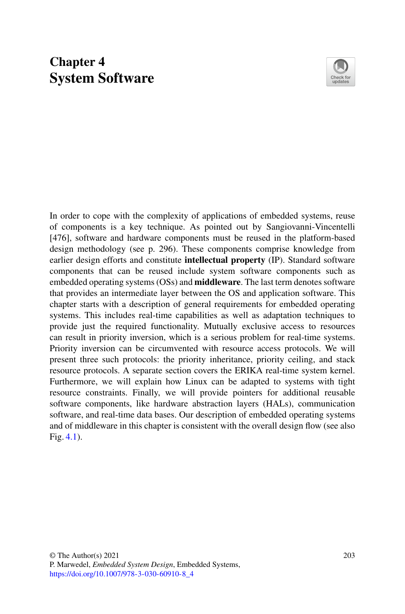# **Chapter 4 System Software**



In order to cope with the complexity of applications of embedded systems, reuse of components is a key technique. As pointed out by Sangiovanni-Vincentelli [476], software and hardware components must be reused in the platform-based design methodology (see p. 296). These components comprise knowledge from earlier design efforts and constitute **intellectual property** (IP). Standard software components that can be reused include system software components such as embedded operating systems (OSs) and **middleware**. The last term denotes software that provides an intermediate layer between the OS and application software. This chapter starts with a description of general requirements for embedded operating systems. This includes real-time capabilities as well as adaptation techniques to provide just the required functionality. Mutually exclusive access to resources can result in priority inversion, which is a serious problem for real-time systems. Priority inversion can be circumvented with resource access protocols. We will present three such protocols: the priority inheritance, priority ceiling, and stack resource protocols. A separate section covers the ERIKA real-time system kernel. Furthermore, we will explain how Linux can be adapted to systems with tight resource constraints. Finally, we will provide pointers for additional reusable software components, like hardware abstraction layers (HALs), communication software, and real-time data bases. Our description of embedded operating systems and of middleware in this chapter is consistent with the overall design flow (see also Fig. [4.1\)](#page-1-0).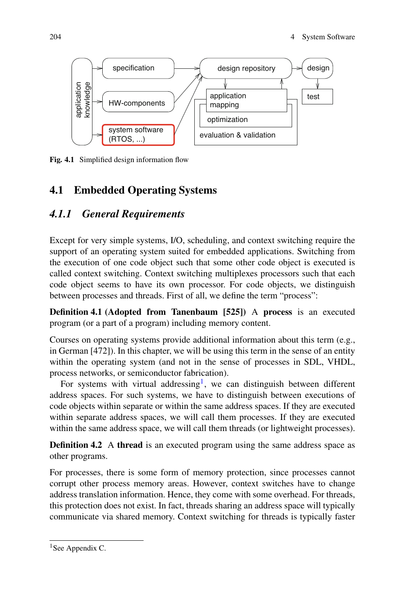

<span id="page-1-0"></span>**Fig. 4.1** Simplified design information flow

## **4.1 Embedded Operating Systems**

### *4.1.1 General Requirements*

Except for very simple systems, I/O, scheduling, and context switching require the support of an operating system suited for embedded applications. Switching from the execution of one code object such that some other code object is executed is called context switching. Context switching multiplexes processors such that each code object seems to have its own processor. For code objects, we distinguish between processes and threads. First of all, we define the term "process":

**Definition 4.1 (Adopted from Tanenbaum [525])** A **process** is an executed program (or a part of a program) including memory content.

Courses on operating systems provide additional information about this term (e.g., in German [472]). In this chapter, we will be using this term in the sense of an entity within the operating system (and not in the sense of processes in SDL, VHDL, process networks, or semiconductor fabrication).

For systems with virtual addressing<sup>1</sup>, we can distinguish between different address spaces. For such systems, we have to distinguish between executions of code objects within separate or within the same address spaces. If they are executed within separate address spaces, we will call them processes. If they are executed within the same address space, we will call them threads (or lightweight processes).

**Definition 4.2** A **thread** is an executed program using the same address space as other programs.

For processes, there is some form of memory protection, since processes cannot corrupt other process memory areas. However, context switches have to change address translation information. Hence, they come with some overhead. For threads, this protection does not exist. In fact, threads sharing an address space will typically communicate via shared memory. Context switching for threads is typically faster

<span id="page-1-1"></span><sup>&</sup>lt;sup>1</sup>See Appendix C.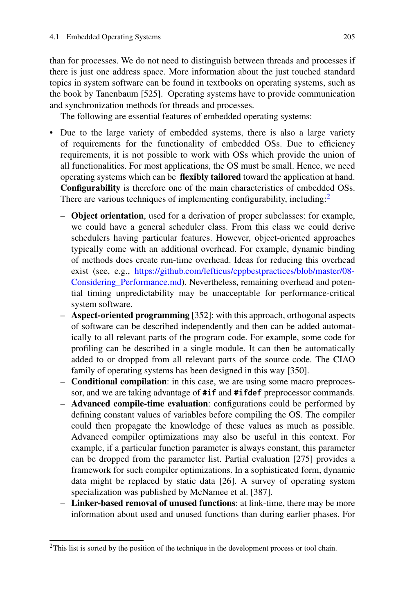than for processes. We do not need to distinguish between threads and processes if there is just one address space. More information about the just touched standard topics in system software can be found in textbooks on operating systems, such as the book by Tanenbaum [525]. Operating systems have to provide communication and synchronization methods for threads and processes.

The following are essential features of embedded operating systems:

- Due to the large variety of embedded systems, there is also a large variety of requirements for the functionality of embedded OSs. Due to efficiency requirements, it is not possible to work with OSs which provide the union of all functionalities. For most applications, the OS must be small. Hence, we need operating systems which can be **flexibly tailored** toward the application at hand. **Configurability** is therefore one of the main characteristics of embedded OSs. There are various techniques of implementing configurability, including:<sup>[2](#page-2-0)</sup>
	- **Object orientation**, used for a derivation of proper subclasses: for example, we could have a general scheduler class. From this class we could derive schedulers having particular features. However, object-oriented approaches typically come with an additional overhead. For example, dynamic binding of methods does create run-time overhead. Ideas for reducing this overhead exist (see, e.g., [https://github.com/lefticus/cppbestpractices/blob/master/08-](https://github.com/lefticus/cppbestpractices/blob/master/08-Considering_Performance.md) Considering Performance.md). Nevertheless, remaining overhead and potential timing unpredictability may be unacceptable for performance-critical system software.
	- **Aspect-oriented programming** [352]: with this approach, orthogonal aspects of software can be described independently and then can be added automatically to all relevant parts of the program code. For example, some code for profiling can be described in a single module. It can then be automatically added to or dropped from all relevant parts of the source code. The CIAO family of operating systems has been designed in this way [350].
	- **Conditional compilation**: in this case, we are using some macro preprocessor, and we are taking advantage of **#if** and **#ifdef** preprocessor commands.
	- **Advanced compile-time evaluation**: configurations could be performed by defining constant values of variables before compiling the OS. The compiler could then propagate the knowledge of these values as much as possible. Advanced compiler optimizations may also be useful in this context. For example, if a particular function parameter is always constant, this parameter can be dropped from the parameter list. Partial evaluation [275] provides a framework for such compiler optimizations. In a sophisticated form, dynamic data might be replaced by static data [26]. A survey of operating system specialization was published by McNamee et al. [387].
	- **Linker-based removal of unused functions**: at link-time, there may be more information about used and unused functions than during earlier phases. For

<span id="page-2-0"></span><sup>&</sup>lt;sup>2</sup>This list is sorted by the position of the technique in the development process or tool chain.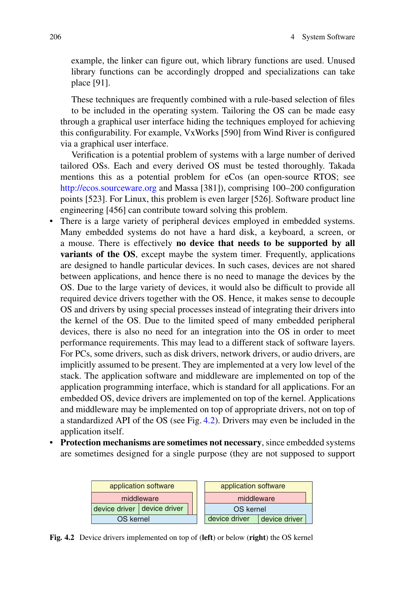example, the linker can figure out, which library functions are used. Unused library functions can be accordingly dropped and specializations can take place [91].

These techniques are frequently combined with a rule-based selection of files to be included in the operating system. Tailoring the OS can be made easy through a graphical user interface hiding the techniques employed for achieving this configurability. For example, VxWorks [590] from Wind River is configured via a graphical user interface.

Verification is a potential problem of systems with a large number of derived tailored OSs. Each and every derived OS must be tested thoroughly. Takada mentions this as a potential problem for eCos (an open-source RTOS; see <http://ecos.sourceware.org> and Massa [381]), comprising 100–200 configuration points [523]. For Linux, this problem is even larger [526]. Software product line engineering [456] can contribute toward solving this problem.

- There is a large variety of peripheral devices employed in embedded systems. Many embedded systems do not have a hard disk, a keyboard, a screen, or a mouse. There is effectively **no device that needs to be supported by all variants of the OS**, except maybe the system timer. Frequently, applications are designed to handle particular devices. In such cases, devices are not shared between applications, and hence there is no need to manage the devices by the OS. Due to the large variety of devices, it would also be difficult to provide all required device drivers together with the OS. Hence, it makes sense to decouple OS and drivers by using special processes instead of integrating their drivers into the kernel of the OS. Due to the limited speed of many embedded peripheral devices, there is also no need for an integration into the OS in order to meet performance requirements. This may lead to a different stack of software layers. For PCs, some drivers, such as disk drivers, network drivers, or audio drivers, are implicitly assumed to be present. They are implemented at a very low level of the stack. The application software and middleware are implemented on top of the application programming interface, which is standard for all applications. For an embedded OS, device drivers are implemented on top of the kernel. Applications and middleware may be implemented on top of appropriate drivers, not on top of a standardized API of the OS (see Fig. [4.2\)](#page-3-0). Drivers may even be included in the application itself.
- **Protection mechanisms are sometimes not necessary**, since embedded systems are sometimes designed for a single purpose (they are not supposed to support



<span id="page-3-0"></span>**Fig. 4.2** Device drivers implemented on top of (**left**) or below (**right**) the OS kernel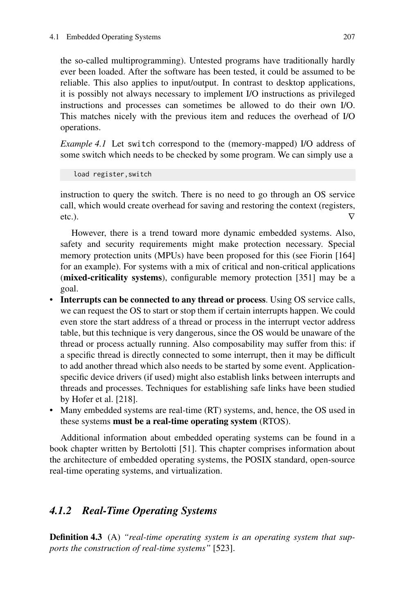the so-called multiprogramming). Untested programs have traditionally hardly ever been loaded. After the software has been tested, it could be assumed to be reliable. This also applies to input/output. In contrast to desktop applications, it is possibly not always necessary to implement I/O instructions as privileged instructions and processes can sometimes be allowed to do their own I/O. This matches nicely with the previous item and reduces the overhead of I/O operations.

*Example 4.1* Let switch correspond to the (memory-mapped) I/O address of some switch which needs to be checked by some program. We can simply use a

```
load register,switch
```
instruction to query the switch. There is no need to go through an OS service call, which would create overhead for saving and restoring the context (registers, etc.).  $\nabla$ 

However, there is a trend toward more dynamic embedded systems. Also, safety and security requirements might make protection necessary. Special memory protection units (MPUs) have been proposed for this (see Fiorin [164] for an example). For systems with a mix of critical and non-critical applications (**mixed-criticality systems**), configurable memory protection [351] may be a goal.

- **Interrupts can be connected to any thread or process**. Using OS service calls, we can request the OS to start or stop them if certain interrupts happen. We could even store the start address of a thread or process in the interrupt vector address table, but this technique is very dangerous, since the OS would be unaware of the thread or process actually running. Also composability may suffer from this: if a specific thread is directly connected to some interrupt, then it may be difficult to add another thread which also needs to be started by some event. Applicationspecific device drivers (if used) might also establish links between interrupts and threads and processes. Techniques for establishing safe links have been studied by Hofer et al. [218].
- Many embedded systems are real-time (RT) systems, and, hence, the OS used in these systems **must be a real-time operating system** (RTOS).

Additional information about embedded operating systems can be found in a book chapter written by Bertolotti [51]. This chapter comprises information about the architecture of embedded operating systems, the POSIX standard, open-source real-time operating systems, and virtualization.

### *4.1.2 Real-Time Operating Systems*

**Definition 4.3** (A) *"real-time operating system is an operating system that supports the construction of real-time systems"* [523].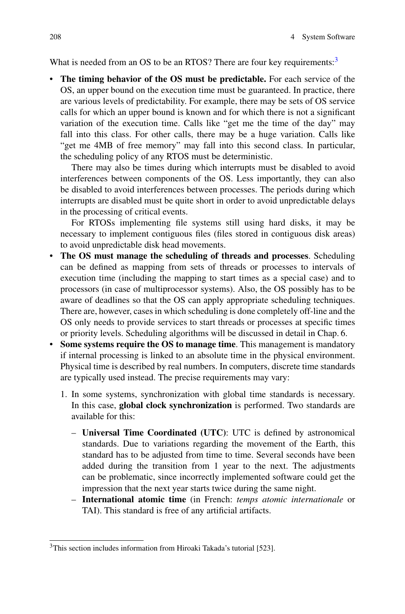What is needed from an OS to be an RTOS? There are four key requirements:<sup>[3](#page-5-0)</sup>

• **The timing behavior of the OS must be predictable.** For each service of the OS, an upper bound on the execution time must be guaranteed. In practice, there are various levels of predictability. For example, there may be sets of OS service calls for which an upper bound is known and for which there is not a significant variation of the execution time. Calls like "get me the time of the day" may fall into this class. For other calls, there may be a huge variation. Calls like "get me 4MB of free memory" may fall into this second class. In particular, the scheduling policy of any RTOS must be deterministic.

There may also be times during which interrupts must be disabled to avoid interferences between components of the OS. Less importantly, they can also be disabled to avoid interferences between processes. The periods during which interrupts are disabled must be quite short in order to avoid unpredictable delays in the processing of critical events.

For RTOSs implementing file systems still using hard disks, it may be necessary to implement contiguous files (files stored in contiguous disk areas) to avoid unpredictable disk head movements.

- **The OS must manage the scheduling of threads and processes**. Scheduling can be defined as mapping from sets of threads or processes to intervals of execution time (including the mapping to start times as a special case) and to processors (in case of multiprocessor systems). Also, the OS possibly has to be aware of deadlines so that the OS can apply appropriate scheduling techniques. There are, however, cases in which scheduling is done completely off-line and the OS only needs to provide services to start threads or processes at specific times or priority levels. Scheduling algorithms will be discussed in detail in Chap. 6.
- **Some systems require the OS to manage time**. This management is mandatory if internal processing is linked to an absolute time in the physical environment. Physical time is described by real numbers. In computers, discrete time standards are typically used instead. The precise requirements may vary:
	- 1. In some systems, synchronization with global time standards is necessary. In this case, **global clock synchronization** is performed. Two standards are available for this:
		- **Universal Time Coordinated (UTC)**: UTC is defined by astronomical standards. Due to variations regarding the movement of the Earth, this standard has to be adjusted from time to time. Several seconds have been added during the transition from 1 year to the next. The adjustments can be problematic, since incorrectly implemented software could get the impression that the next year starts twice during the same night.
		- **International atomic time** (in French: *temps atomic internationale* or TAI). This standard is free of any artificial artifacts.

<span id="page-5-0"></span><sup>3</sup>This section includes information from Hiroaki Takada's tutorial [523].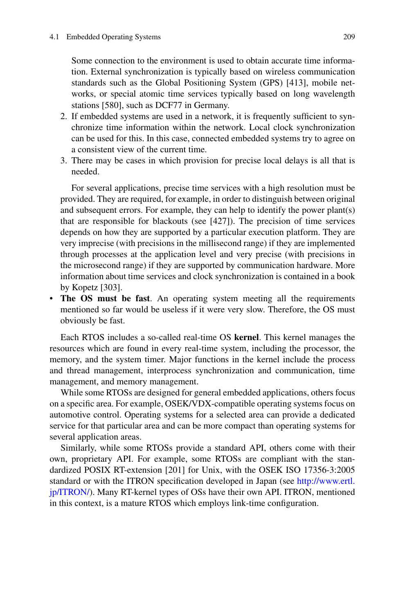Some connection to the environment is used to obtain accurate time information. External synchronization is typically based on wireless communication standards such as the Global Positioning System (GPS) [413], mobile networks, or special atomic time services typically based on long wavelength stations [580], such as DCF77 in Germany.

- 2. If embedded systems are used in a network, it is frequently sufficient to synchronize time information within the network. Local clock synchronization can be used for this. In this case, connected embedded systems try to agree on a consistent view of the current time.
- 3. There may be cases in which provision for precise local delays is all that is needed.

For several applications, precise time services with a high resolution must be provided. They are required, for example, in order to distinguish between original and subsequent errors. For example, they can help to identify the power plant(s) that are responsible for blackouts (see [427]). The precision of time services depends on how they are supported by a particular execution platform. They are very imprecise (with precisions in the millisecond range) if they are implemented through processes at the application level and very precise (with precisions in the microsecond range) if they are supported by communication hardware. More information about time services and clock synchronization is contained in a book by Kopetz [303].

• **The OS must be fast**. An operating system meeting all the requirements mentioned so far would be useless if it were very slow. Therefore, the OS must obviously be fast.

Each RTOS includes a so-called real-time OS **kernel**. This kernel manages the resources which are found in every real-time system, including the processor, the memory, and the system timer. Major functions in the kernel include the process and thread management, interprocess synchronization and communication, time management, and memory management.

While some RTOSs are designed for general embedded applications, others focus on a specific area. For example, OSEK/VDX-compatible operating systems focus on automotive control. Operating systems for a selected area can provide a dedicated service for that particular area and can be more compact than operating systems for several application areas.

Similarly, while some RTOSs provide a standard API, others come with their own, proprietary API. For example, some RTOSs are compliant with the standardized POSIX RT-extension [201] for Unix, with the OSEK ISO 17356-3:2005 standard or with the ITRON specification developed in Japan (see [http://www.ertl.](http://www.ertl.jp/ITRON/) [jp/ITRON/\)](http://www.ertl.jp/ITRON/). Many RT-kernel types of OSs have their own API. ITRON, mentioned in this context, is a mature RTOS which employs link-time configuration.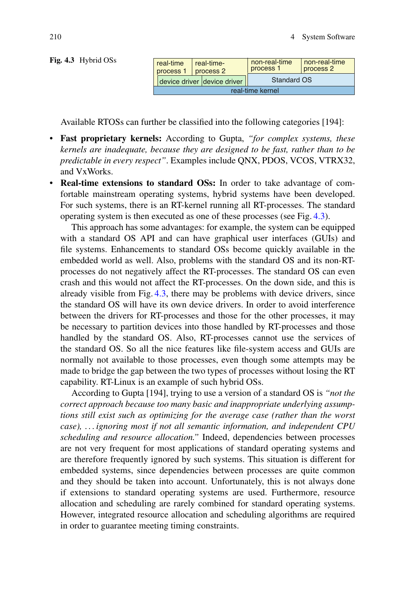#### <span id="page-7-0"></span>Fig. 4.3 Hybrid OSs

| real-time<br>process $1$   process $2$ |  | real-time-                  | non-real-time<br>process 1 | non-real-time<br>process 2 |  |  |  |
|----------------------------------------|--|-----------------------------|----------------------------|----------------------------|--|--|--|
|                                        |  | device driver device driver | Standard OS                |                            |  |  |  |
| real-time kernel                       |  |                             |                            |                            |  |  |  |

Available RTOSs can further be classified into the following categories [194]:

- **Fast proprietary kernels:** According to Gupta, *"for complex systems, these kernels are inadequate, because they are designed to be fast, rather than to be predictable in every respect"*. Examples include QNX, PDOS, VCOS, VTRX32, and VxWorks.
- **Real-time extensions to standard OSs:** In order to take advantage of comfortable mainstream operating systems, hybrid systems have been developed. For such systems, there is an RT-kernel running all RT-processes. The standard operating system is then executed as one of these processes (see Fig. [4.3\)](#page-7-0).

This approach has some advantages: for example, the system can be equipped with a standard OS API and can have graphical user interfaces (GUIs) and file systems. Enhancements to standard OSs become quickly available in the embedded world as well. Also, problems with the standard OS and its non-RTprocesses do not negatively affect the RT-processes. The standard OS can even crash and this would not affect the RT-processes. On the down side, and this is already visible from Fig. [4.3,](#page-7-0) there may be problems with device drivers, since the standard OS will have its own device drivers. In order to avoid interference between the drivers for RT-processes and those for the other processes, it may be necessary to partition devices into those handled by RT-processes and those handled by the standard OS. Also, RT-processes cannot use the services of the standard OS. So all the nice features like file-system access and GUIs are normally not available to those processes, even though some attempts may be made to bridge the gap between the two types of processes without losing the RT capability. RT-Linux is an example of such hybrid OSs.

According to Gupta [194], trying to use a version of a standard OS is *"not the correct approach because too many basic and inappropriate underlying assumptions still exist such as optimizing for the average case (rather than the worst case), . . . ignoring most if not all semantic information, and independent CPU scheduling and resource allocation."* Indeed, dependencies between processes are not very frequent for most applications of standard operating systems and are therefore frequently ignored by such systems. This situation is different for embedded systems, since dependencies between processes are quite common and they should be taken into account. Unfortunately, this is not always done if extensions to standard operating systems are used. Furthermore, resource allocation and scheduling are rarely combined for standard operating systems. However, integrated resource allocation and scheduling algorithms are required in order to guarantee meeting timing constraints.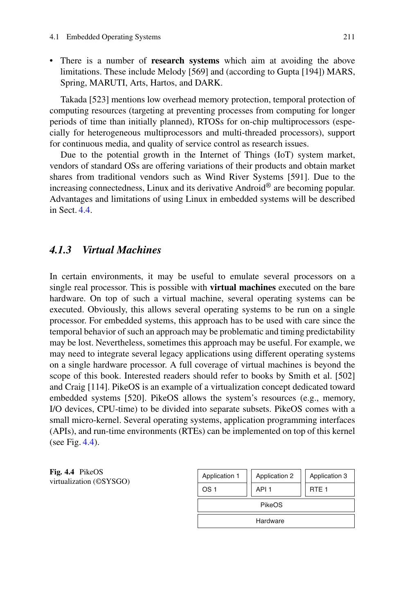• There is a number of **research systems** which aim at avoiding the above limitations. These include Melody [569] and (according to Gupta [194]) MARS, Spring, MARUTI, Arts, Hartos, and DARK.

Takada [523] mentions low overhead memory protection, temporal protection of computing resources (targeting at preventing processes from computing for longer periods of time than initially planned), RTOSs for on-chip multiprocessors (especially for heterogeneous multiprocessors and multi-threaded processors), support for continuous media, and quality of service control as research issues.

Due to the potential growth in the Internet of Things (IoT) system market, vendors of standard OSs are offering variations of their products and obtain market shares from traditional vendors such as Wind River Systems [591]. Due to the increasing connectedness, Linux and its derivative Android® are becoming popular. Advantages and limitations of using Linux in embedded systems will be described in Sect. [4.4.](#page-20-0)

#### *4.1.3 Virtual Machines*

In certain environments, it may be useful to emulate several processors on a single real processor. This is possible with **virtual machines** executed on the bare hardware. On top of such a virtual machine, several operating systems can be executed. Obviously, this allows several operating systems to be run on a single processor. For embedded systems, this approach has to be used with care since the temporal behavior of such an approach may be problematic and timing predictability may be lost. Nevertheless, sometimes this approach may be useful. For example, we may need to integrate several legacy applications using different operating systems on a single hardware processor. A full coverage of virtual machines is beyond the scope of this book. Interested readers should refer to books by Smith et al. [502] and Craig [114]. PikeOS is an example of a virtualization concept dedicated toward embedded systems [520]. PikeOS allows the system's resources (e.g., memory, I/O devices, CPU-time) to be divided into separate subsets. PikeOS comes with a small micro-kernel. Several operating systems, application programming interfaces (APIs), and run-time environments (RTEs) can be implemented on top of this kernel (see Fig. [4.4\)](#page-8-0).

<span id="page-8-0"></span>**Fig. 4.4** PikeOS virtualization (©SYSGO)

| Application 1 | <b>Application 2</b> | <b>Application 3</b> |  |  |  |  |  |
|---------------|----------------------|----------------------|--|--|--|--|--|
| OS 1          | API <sub>1</sub>     | RTE <sub>1</sub>     |  |  |  |  |  |
|               | PikeOS               |                      |  |  |  |  |  |
| Hardware      |                      |                      |  |  |  |  |  |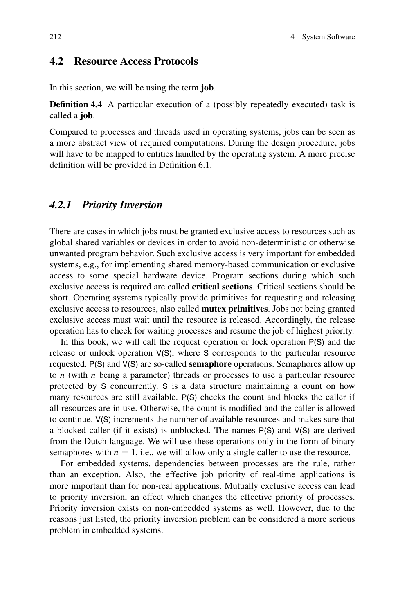### <span id="page-9-0"></span>**4.2 Resource Access Protocols**

In this section, we will be using the term **job**.

**Definition 4.4** A particular execution of a (possibly repeatedly executed) task is called a **job**.

Compared to processes and threads used in operating systems, jobs can be seen as a more abstract view of required computations. During the design procedure, jobs will have to be mapped to entities handled by the operating system. A more precise definition will be provided in Definition 6.1.

#### *4.2.1 Priority Inversion*

There are cases in which jobs must be granted exclusive access to resources such as global shared variables or devices in order to avoid non-deterministic or otherwise unwanted program behavior. Such exclusive access is very important for embedded systems, e.g., for implementing shared memory-based communication or exclusive access to some special hardware device. Program sections during which such exclusive access is required are called **critical sections**. Critical sections should be short. Operating systems typically provide primitives for requesting and releasing exclusive access to resources, also called **mutex primitives**. Jobs not being granted exclusive access must wait until the resource is released. Accordingly, the release operation has to check for waiting processes and resume the job of highest priority.

In this book, we will call the request operation or lock operation P(S) and the release or unlock operation V(S), where S corresponds to the particular resource requested. P(S) and V(S) are so-called **semaphore** operations. Semaphores allow up to *n* (with *n* being a parameter) threads or processes to use a particular resource protected by S concurrently. S is a data structure maintaining a count on how many resources are still available. P(S) checks the count and blocks the caller if all resources are in use. Otherwise, the count is modified and the caller is allowed to continue. V(S) increments the number of available resources and makes sure that a blocked caller (if it exists) is unblocked. The names P(S) and V(S) are derived from the Dutch language. We will use these operations only in the form of binary semaphores with  $n = 1$ , i.e., we will allow only a single caller to use the resource.

For embedded systems, dependencies between processes are the rule, rather than an exception. Also, the effective job priority of real-time applications is more important than for non-real applications. Mutually exclusive access can lead to priority inversion, an effect which changes the effective priority of processes. Priority inversion exists on non-embedded systems as well. However, due to the reasons just listed, the priority inversion problem can be considered a more serious problem in embedded systems.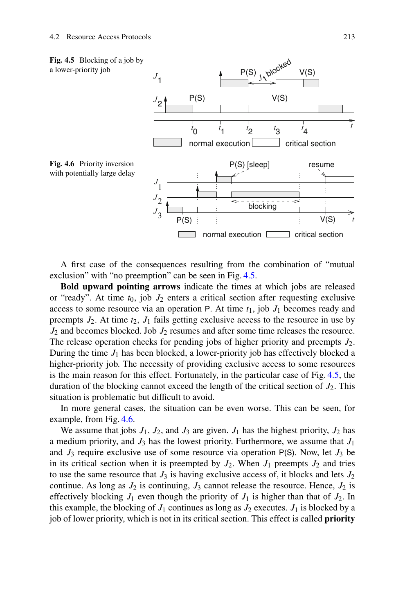

<span id="page-10-0"></span>

<span id="page-10-1"></span>A first case of the consequences resulting from the combination of "mutual exclusion" with "no preemption" can be seen in Fig. [4.5.](#page-10-0)

**Bold upward pointing arrows** indicate the times at which jobs are released or "ready". At time  $t_0$ , job  $J_2$  enters a critical section after requesting exclusive access to some resource via an operation P. At time  $t_1$ , job  $J_1$  becomes ready and preempts  $J_2$ . At time  $t_2$ ,  $J_1$  fails getting exclusive access to the resource in use by *J*<sup>2</sup> and becomes blocked. Job *J*<sup>2</sup> resumes and after some time releases the resource. The release operation checks for pending jobs of higher priority and preempts *J*2. During the time  $J_1$  has been blocked, a lower-priority job has effectively blocked a higher-priority job. The necessity of providing exclusive access to some resources is the main reason for this effect. Fortunately, in the particular case of Fig. [4.5,](#page-10-0) the duration of the blocking cannot exceed the length of the critical section of  $J_2$ . This situation is problematic but difficult to avoid.

In more general cases, the situation can be even worse. This can be seen, for example, from Fig. [4.6.](#page-10-1)

We assume that jobs  $J_1$ ,  $J_2$ , and  $J_3$  are given.  $J_1$  has the highest priority,  $J_2$  has a medium priority, and *J*<sup>3</sup> has the lowest priority. Furthermore, we assume that *J*<sup>1</sup> and  $J_3$  require exclusive use of some resource via operation  $P(S)$ . Now, let  $J_3$  be in its critical section when it is preempted by  $J_2$ . When  $J_1$  preempts  $J_2$  and tries to use the same resource that  $J_3$  is having exclusive access of, it blocks and lets  $J_2$ continue. As long as  $J_2$  is continuing,  $J_3$  cannot release the resource. Hence,  $J_2$  is effectively blocking  $J_1$  even though the priority of  $J_1$  is higher than that of  $J_2$ . In this example, the blocking of  $J_1$  continues as long as  $J_2$  executes.  $J_1$  is blocked by a job of lower priority, which is not in its critical section. This effect is called **priority**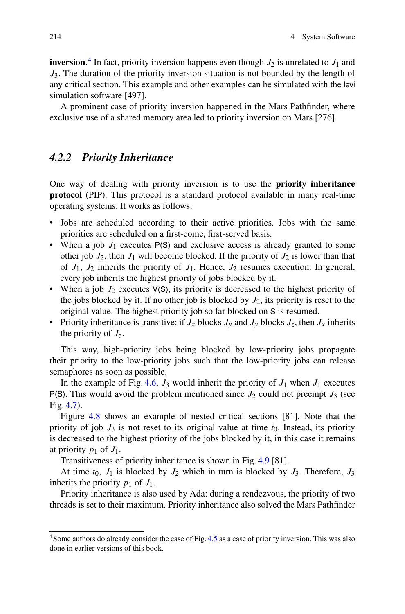**inversion.**<sup>[4](#page-11-0)</sup> In fact, priority inversion happens even though  $J_2$  is unrelated to  $J_1$  and *J*3. The duration of the priority inversion situation is not bounded by the length of any critical section. This example and other examples can be simulated with the levi simulation software [497].

A prominent case of priority inversion happened in the Mars Pathfinder, where exclusive use of a shared memory area led to priority inversion on Mars [276].

#### *4.2.2 Priority Inheritance*

One way of dealing with priority inversion is to use the **priority inheritance protocol** (PIP). This protocol is a standard protocol available in many real-time operating systems. It works as follows:

- Jobs are scheduled according to their active priorities. Jobs with the same priorities are scheduled on a first-come, first-served basis.
- When a job  $J_1$  executes P(S) and exclusive access is already granted to some other job  $J_2$ , then  $J_1$  will become blocked. If the priority of  $J_2$  is lower than that of  $J_1$ ,  $J_2$  inherits the priority of  $J_1$ . Hence,  $J_2$  resumes execution. In general, every job inherits the highest priority of jobs blocked by it.
- When a job  $J_2$  executes  $V(S)$ , its priority is decreased to the highest priority of the jobs blocked by it. If no other job is blocked by  $J_2$ , its priority is reset to the original value. The highest priority job so far blocked on S is resumed.
- Priority inheritance is transitive: if  $J_x$  blocks  $J_y$  and  $J_y$  blocks  $J_z$ , then  $J_x$  inherits the priority of  $J_z$ .

This way, high-priority jobs being blocked by low-priority jobs propagate their priority to the low-priority jobs such that the low-priority jobs can release semaphores as soon as possible.

In the example of Fig. [4.6,](#page-10-1)  $J_3$  would inherit the priority of  $J_1$  when  $J_1$  executes P(S). This would avoid the problem mentioned since  $J_2$  could not preempt  $J_3$  (see Fig. [4.7\)](#page-12-0).

Figure [4.8](#page-12-1) shows an example of nested critical sections [81]. Note that the priority of job  $J_3$  is not reset to its original value at time  $t_0$ . Instead, its priority is decreased to the highest priority of the jobs blocked by it, in this case it remains at priority  $p_1$  of  $J_1$ .

Transitiveness of priority inheritance is shown in Fig. [4.9](#page-12-2) [81].

At time  $t_0$ ,  $J_1$  is blocked by  $J_2$  which in turn is blocked by  $J_3$ . Therefore,  $J_3$ inherits the priority  $p_1$  of  $J_1$ .

Priority inheritance is also used by Ada: during a rendezvous, the priority of two threads is set to their maximum. Priority inheritance also solved the Mars Pathfinder

<span id="page-11-0"></span><sup>&</sup>lt;sup>4</sup>Some authors do already consider the case of Fig. [4.5](#page-10-0) as a case of priority inversion. This was also done in earlier versions of this book.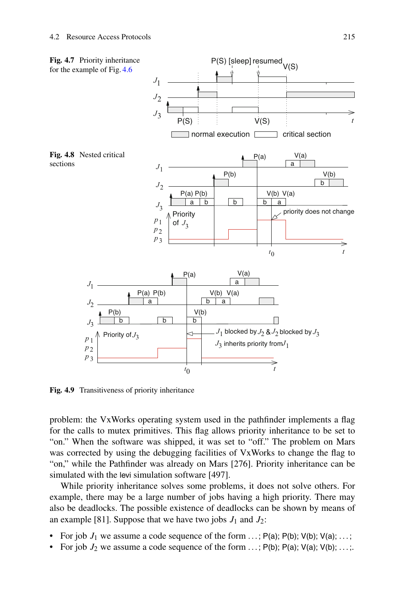<span id="page-12-1"></span><span id="page-12-0"></span>

<span id="page-12-2"></span>**Fig. 4.9** Transitiveness of priority inheritance

problem: the VxWorks operating system used in the pathfinder implements a flag for the calls to mutex primitives. This flag allows priority inheritance to be set to "on." When the software was shipped, it was set to "off." The problem on Mars was corrected by using the debugging facilities of VxWorks to change the flag to "on," while the Pathfinder was already on Mars [276]. Priority inheritance can be simulated with the levi simulation software [497].

While priority inheritance solves some problems, it does not solve others. For example, there may be a large number of jobs having a high priority. There may also be deadlocks. The possible existence of deadlocks can be shown by means of an example [81]. Suppose that we have two jobs  $J_1$  and  $J_2$ :

- For job  $J_1$  we assume a code sequence of the form ...;  $P(a)$ ;  $P(b)$ ;  $V(b)$ ;  $V(a)$ ; ...;
- For job  $J_2$  we assume a code sequence of the form  $\ldots$ ; P(b); P(a); V(a); V(b);  $\ldots$ ;.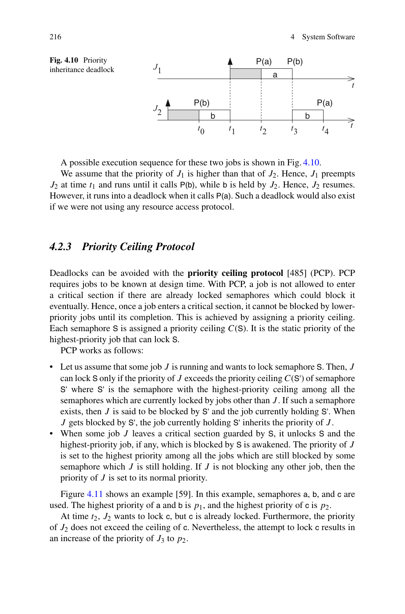<span id="page-13-0"></span>

A possible execution sequence for these two jobs is shown in Fig. [4.10.](#page-13-0)

We assume that the priority of  $J_1$  is higher than that of  $J_2$ . Hence,  $J_1$  preempts  $J_2$  at time  $t_1$  and runs until it calls  $P(b)$ , while b is held by  $J_2$ . Hence,  $J_2$  resumes. However, it runs into a deadlock when it calls P(a). Such a deadlock would also exist if we were not using any resource access protocol.

#### *4.2.3 Priority Ceiling Protocol*

Deadlocks can be avoided with the **priority ceiling protocol** [485] (PCP). PCP requires jobs to be known at design time. With PCP, a job is not allowed to enter a critical section if there are already locked semaphores which could block it eventually. Hence, once a job enters a critical section, it cannot be blocked by lowerpriority jobs until its completion. This is achieved by assigning a priority ceiling. Each semaphore S is assigned a priority ceiling  $C(S)$ . It is the static priority of the highest-priority job that can lock S.

PCP works as follows:

- Let us assume that some job *J* is running and wants to lock semaphore S. Then, *J* can lock S only if the priority of *J* exceeds the priority ceiling *C*(S') of semaphore S' where S' is the semaphore with the highest-priority ceiling among all the semaphores which are currently locked by jobs other than *J* . If such a semaphore exists, then *J* is said to be blocked by S' and the job currently holding S'. When *J* gets blocked by S', the job currently holding S' inherits the priority of *J* .
- When some job *J* leaves a critical section guarded by S, it unlocks S and the highest-priority job, if any, which is blocked by S is awakened. The priority of *J* is set to the highest priority among all the jobs which are still blocked by some semaphore which *J* is still holding. If *J* is not blocking any other job, then the priority of *J* is set to its normal priority.

Figure [4.11](#page-14-0) shows an example [59]. In this example, semaphores a, b, and c are used. The highest priority of a and b is  $p_1$ , and the highest priority of c is  $p_2$ .

At time  $t_2$ ,  $J_2$  wants to lock c, but c is already locked. Furthermore, the priority of *J*<sup>2</sup> does not exceed the ceiling of c. Nevertheless, the attempt to lock c results in an increase of the priority of  $J_3$  to  $p_2$ .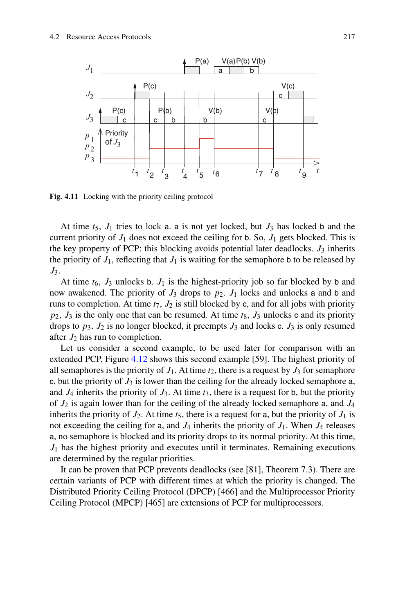

<span id="page-14-0"></span>Fig. 4.11 Locking with the priority ceiling protocol

At time  $t_5$ ,  $J_1$  tries to lock a. a is not yet locked, but  $J_3$  has locked b and the current priority of  $J_1$  does not exceed the ceiling for b. So,  $J_1$  gets blocked. This is the key property of PCP: this blocking avoids potential later deadlocks.  $J_3$  inherits the priority of  $J_1$ , reflecting that  $J_1$  is waiting for the semaphore b to be released by *J*3.

At time  $t_6$ ,  $J_3$  unlocks b.  $J_1$  is the highest-priority job so far blocked by b and now awakened. The priority of  $J_3$  drops to  $p_2$ .  $J_1$  locks and unlocks a and b and runs to completion. At time  $t_7$ ,  $J_2$  is still blocked by c, and for all jobs with priority  $p_2$ ,  $J_3$  is the only one that can be resumed. At time  $t_8$ ,  $J_3$  unlocks c and its priority drops to  $p_3$ .  $J_2$  is no longer blocked, it preempts  $J_3$  and locks c.  $J_3$  is only resumed after  $J_2$  has run to completion.

Let us consider a second example, to be used later for comparison with an extended PCP. Figure [4.12](#page-15-0) shows this second example [59]. The highest priority of all semaphores is the priority of  $J_1$ . At time  $t_2$ , there is a request by  $J_3$  for semaphore c, but the priority of  $J_3$  is lower than the ceiling for the already locked semaphore a, and  $J_4$  inherits the priority of  $J_3$ . At time  $t_3$ , there is a request for b, but the priority of *J*<sup>2</sup> is again lower than for the ceiling of the already locked semaphore a, and *J*<sup>4</sup> inherits the priority of  $J_2$ . At time  $t_5$ , there is a request for a, but the priority of  $J_1$  is not exceeding the ceiling for a, and  $J_4$  inherits the priority of  $J_1$ . When  $J_4$  releases a, no semaphore is blocked and its priority drops to its normal priority. At this time, *J*<sub>1</sub> has the highest priority and executes until it terminates. Remaining executions are determined by the regular priorities.

It can be proven that PCP prevents deadlocks (see [81], Theorem 7.3). There are certain variants of PCP with different times at which the priority is changed. The Distributed Priority Ceiling Protocol (DPCP) [466] and the Multiprocessor Priority Ceiling Protocol (MPCP) [465] are extensions of PCP for multiprocessors.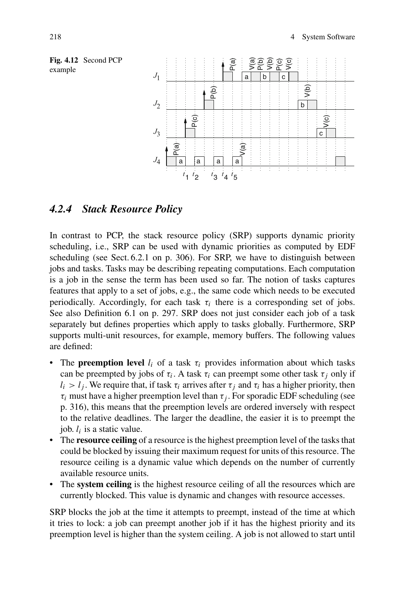

#### *4.2.4 Stack Resource Policy*

In contrast to PCP, the stack resource policy (SRP) supports dynamic priority scheduling, i.e., SRP can be used with dynamic priorities as computed by EDF scheduling (see Sect. 6.2.1 on p. 306). For SRP, we have to distinguish between jobs and tasks. Tasks may be describing repeating computations. Each computation is a job in the sense the term has been used so far. The notion of tasks captures features that apply to a set of jobs, e.g., the same code which needs to be executed periodically. Accordingly, for each task  $\tau_i$  there is a corresponding set of jobs. See also Definition 6.1 on p. 297. SRP does not just consider each job of a task separately but defines properties which apply to tasks globally. Furthermore, SRP supports multi-unit resources, for example, memory buffers. The following values are defined:

- The **preemption level**  $l_i$  of a task  $\tau_i$  provides information about which tasks can be preempted by jobs of  $\tau_i$ . A task  $\tau_i$  can preempt some other task  $\tau_i$  only if  $l_i > l_j$ . We require that, if task  $\tau_i$  arrives after  $\tau_j$  and  $\tau_i$  has a higher priority, then  $\tau_i$  must have a higher preemption level than  $\tau_i$ . For sporadic EDF scheduling (see p. 316), this means that the preemption levels are ordered inversely with respect to the relative deadlines. The larger the deadline, the easier it is to preempt the job. *li* is a static value.
- The **resource ceiling** of a resource is the highest preemption level of the tasks that could be blocked by issuing their maximum request for units of this resource. The resource ceiling is a dynamic value which depends on the number of currently available resource units.
- The **system ceiling** is the highest resource ceiling of all the resources which are currently blocked. This value is dynamic and changes with resource accesses.

SRP blocks the job at the time it attempts to preempt, instead of the time at which it tries to lock: a job can preempt another job if it has the highest priority and its preemption level is higher than the system ceiling. A job is not allowed to start until

<span id="page-15-0"></span>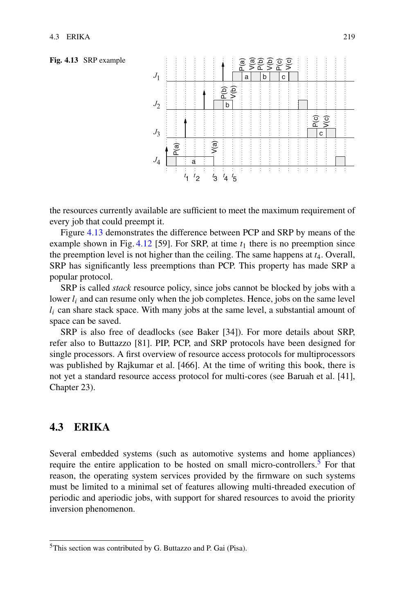<span id="page-16-0"></span>



the resources currently available are sufficient to meet the maximum requirement of every job that could preempt it.

Figure [4.13](#page-16-0) demonstrates the difference between PCP and SRP by means of the example shown in Fig. [4.12](#page-15-0) [59]. For SRP, at time  $t_1$  there is no preemption since the preemption level is not higher than the ceiling. The same happens at *t*4. Overall, SRP has significantly less preemptions than PCP. This property has made SRP a popular protocol.

SRP is called *stack* resource policy, since jobs cannot be blocked by jobs with a lower  $l_i$  and can resume only when the job completes. Hence, jobs on the same level  $l_i$  can share stack space. With many jobs at the same level, a substantial amount of space can be saved.

SRP is also free of deadlocks (see Baker [34]). For more details about SRP, refer also to Buttazzo [81]. PIP, PCP, and SRP protocols have been designed for single processors. A first overview of resource access protocols for multiprocessors was published by Rajkumar et al. [466]. At the time of writing this book, there is not yet a standard resource access protocol for multi-cores (see Baruah et al. [41], Chapter 23).

#### **4.3 ERIKA**

Several embedded systems (such as automotive systems and home appliances) require the entire application to be hosted on small micro-controllers.<sup>[5](#page-16-1)</sup> For that reason, the operating system services provided by the firmware on such systems must be limited to a minimal set of features allowing multi-threaded execution of periodic and aperiodic jobs, with support for shared resources to avoid the priority inversion phenomenon.

<span id="page-16-1"></span><sup>5</sup>This section was contributed by G. Buttazzo and P. Gai (Pisa).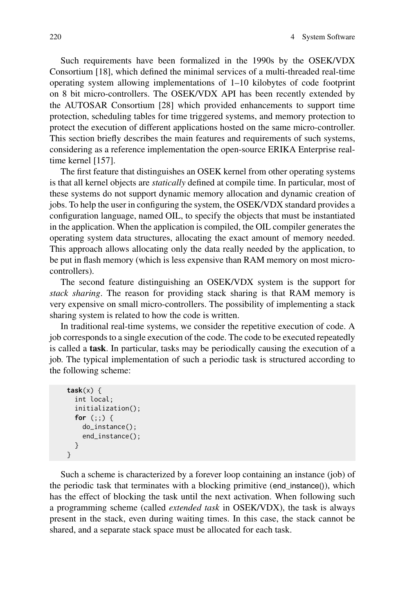Such requirements have been formalized in the 1990s by the OSEK/VDX Consortium [18], which defined the minimal services of a multi-threaded real-time operating system allowing implementations of 1–10 kilobytes of code footprint on 8 bit micro-controllers. The OSEK/VDX API has been recently extended by the AUTOSAR Consortium [28] which provided enhancements to support time protection, scheduling tables for time triggered systems, and memory protection to protect the execution of different applications hosted on the same micro-controller. This section briefly describes the main features and requirements of such systems, considering as a reference implementation the open-source ERIKA Enterprise realtime kernel [157].

The first feature that distinguishes an OSEK kernel from other operating systems is that all kernel objects are *statically* defined at compile time. In particular, most of these systems do not support dynamic memory allocation and dynamic creation of jobs. To help the user in configuring the system, the OSEK/VDX standard provides a configuration language, named OIL, to specify the objects that must be instantiated in the application. When the application is compiled, the OIL compiler generates the operating system data structures, allocating the exact amount of memory needed. This approach allows allocating only the data really needed by the application, to be put in flash memory (which is less expensive than RAM memory on most microcontrollers).

The second feature distinguishing an OSEK/VDX system is the support for *stack sharing*. The reason for providing stack sharing is that RAM memory is very expensive on small micro-controllers. The possibility of implementing a stack sharing system is related to how the code is written.

In traditional real-time systems, we consider the repetitive execution of code. A job corresponds to a single execution of the code. The code to be executed repeatedly is called a **task**. In particular, tasks may be periodically causing the execution of a job. The typical implementation of such a periodic task is structured according to the following scheme:

```
task(x) {
  int local;
  initialization();
  for (;;) {
    do_instance();
    end_instance();
  }
}
```
Such a scheme is characterized by a forever loop containing an instance (job) of the periodic task that terminates with a blocking primitive (end\_instance()), which has the effect of blocking the task until the next activation. When following such a programming scheme (called *extended task* in OSEK/VDX), the task is always present in the stack, even during waiting times. In this case, the stack cannot be shared, and a separate stack space must be allocated for each task.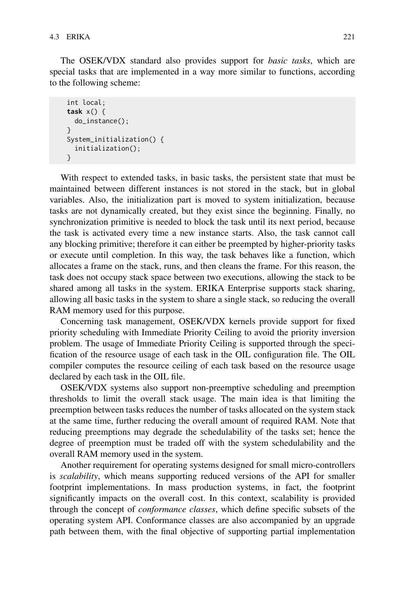The OSEK/VDX standard also provides support for *basic tasks*, which are special tasks that are implemented in a way more similar to functions, according to the following scheme:

```
int local;
task x() {
 do_instance();
}
System_initialization() {
  initialization();
}
```
With respect to extended tasks, in basic tasks, the persistent state that must be maintained between different instances is not stored in the stack, but in global variables. Also, the initialization part is moved to system initialization, because tasks are not dynamically created, but they exist since the beginning. Finally, no synchronization primitive is needed to block the task until its next period, because the task is activated every time a new instance starts. Also, the task cannot call any blocking primitive; therefore it can either be preempted by higher-priority tasks or execute until completion. In this way, the task behaves like a function, which allocates a frame on the stack, runs, and then cleans the frame. For this reason, the task does not occupy stack space between two executions, allowing the stack to be shared among all tasks in the system. ERIKA Enterprise supports stack sharing, allowing all basic tasks in the system to share a single stack, so reducing the overall RAM memory used for this purpose.

Concerning task management, OSEK/VDX kernels provide support for fixed priority scheduling with Immediate Priority Ceiling to avoid the priority inversion problem. The usage of Immediate Priority Ceiling is supported through the specification of the resource usage of each task in the OIL configuration file. The OIL compiler computes the resource ceiling of each task based on the resource usage declared by each task in the OIL file.

OSEK/VDX systems also support non-preemptive scheduling and preemption thresholds to limit the overall stack usage. The main idea is that limiting the preemption between tasks reduces the number of tasks allocated on the system stack at the same time, further reducing the overall amount of required RAM. Note that reducing preemptions may degrade the schedulability of the tasks set; hence the degree of preemption must be traded off with the system schedulability and the overall RAM memory used in the system.

Another requirement for operating systems designed for small micro-controllers is *scalability*, which means supporting reduced versions of the API for smaller footprint implementations. In mass production systems, in fact, the footprint significantly impacts on the overall cost. In this context, scalability is provided through the concept of *conformance classes*, which define specific subsets of the operating system API. Conformance classes are also accompanied by an upgrade path between them, with the final objective of supporting partial implementation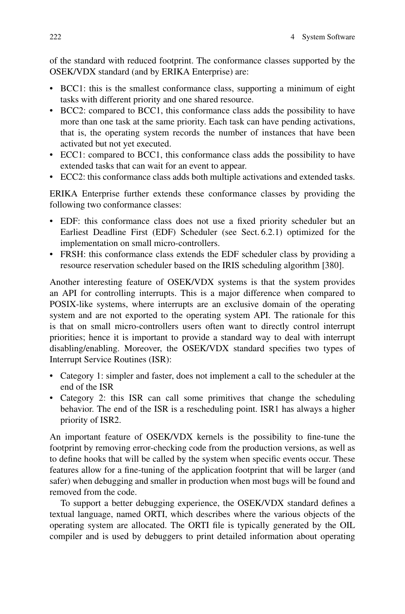of the standard with reduced footprint. The conformance classes supported by the OSEK/VDX standard (and by ERIKA Enterprise) are:

- BCC1: this is the smallest conformance class, supporting a minimum of eight tasks with different priority and one shared resource.
- BCC2: compared to BCC1, this conformance class adds the possibility to have more than one task at the same priority. Each task can have pending activations, that is, the operating system records the number of instances that have been activated but not yet executed.
- ECC1: compared to BCC1, this conformance class adds the possibility to have extended tasks that can wait for an event to appear.
- ECC2: this conformance class adds both multiple activations and extended tasks.

ERIKA Enterprise further extends these conformance classes by providing the following two conformance classes:

- EDF: this conformance class does not use a fixed priority scheduler but an Earliest Deadline First (EDF) Scheduler (see Sect. 6.2.1) optimized for the implementation on small micro-controllers.
- FRSH: this conformance class extends the EDF scheduler class by providing a resource reservation scheduler based on the IRIS scheduling algorithm [380].

Another interesting feature of OSEK/VDX systems is that the system provides an API for controlling interrupts. This is a major difference when compared to POSIX-like systems, where interrupts are an exclusive domain of the operating system and are not exported to the operating system API. The rationale for this is that on small micro-controllers users often want to directly control interrupt priorities; hence it is important to provide a standard way to deal with interrupt disabling/enabling. Moreover, the OSEK/VDX standard specifies two types of Interrupt Service Routines (ISR):

- Category 1: simpler and faster, does not implement a call to the scheduler at the end of the ISR
- Category 2: this ISR can call some primitives that change the scheduling behavior. The end of the ISR is a rescheduling point. ISR1 has always a higher priority of ISR2.

An important feature of OSEK/VDX kernels is the possibility to fine-tune the footprint by removing error-checking code from the production versions, as well as to define hooks that will be called by the system when specific events occur. These features allow for a fine-tuning of the application footprint that will be larger (and safer) when debugging and smaller in production when most bugs will be found and removed from the code.

To support a better debugging experience, the OSEK/VDX standard defines a textual language, named ORTI, which describes where the various objects of the operating system are allocated. The ORTI file is typically generated by the OIL compiler and is used by debuggers to print detailed information about operating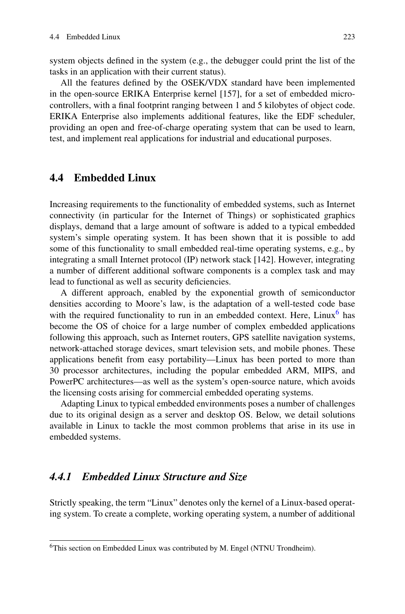system objects defined in the system (e.g., the debugger could print the list of the tasks in an application with their current status).

All the features defined by the OSEK/VDX standard have been implemented in the open-source ERIKA Enterprise kernel [157], for a set of embedded microcontrollers, with a final footprint ranging between 1 and 5 kilobytes of object code. ERIKA Enterprise also implements additional features, like the EDF scheduler, providing an open and free-of-charge operating system that can be used to learn, test, and implement real applications for industrial and educational purposes.

#### <span id="page-20-0"></span>**4.4 Embedded Linux**

Increasing requirements to the functionality of embedded systems, such as Internet connectivity (in particular for the Internet of Things) or sophisticated graphics displays, demand that a large amount of software is added to a typical embedded system's simple operating system. It has been shown that it is possible to add some of this functionality to small embedded real-time operating systems, e.g., by integrating a small Internet protocol (IP) network stack [142]. However, integrating a number of different additional software components is a complex task and may lead to functional as well as security deficiencies.

A different approach, enabled by the exponential growth of semiconductor densities according to Moore's law, is the adaptation of a well-tested code base with the required functionality to run in an embedded context. Here,  $Linux<sup>6</sup>$  has become the OS of choice for a large number of complex embedded applications following this approach, such as Internet routers, GPS satellite navigation systems, network-attached storage devices, smart television sets, and mobile phones. These applications benefit from easy portability—Linux has been ported to more than 30 processor architectures, including the popular embedded ARM, MIPS, and PowerPC architectures—as well as the system's open-source nature, which avoids the licensing costs arising for commercial embedded operating systems.

Adapting Linux to typical embedded environments poses a number of challenges due to its original design as a server and desktop OS. Below, we detail solutions available in Linux to tackle the most common problems that arise in its use in embedded systems.

#### *4.4.1 Embedded Linux Structure and Size*

Strictly speaking, the term "Linux" denotes only the kernel of a Linux-based operating system. To create a complete, working operating system, a number of additional

<span id="page-20-1"></span><sup>&</sup>lt;sup>6</sup>This section on Embedded Linux was contributed by M. Engel (NTNU Trondheim).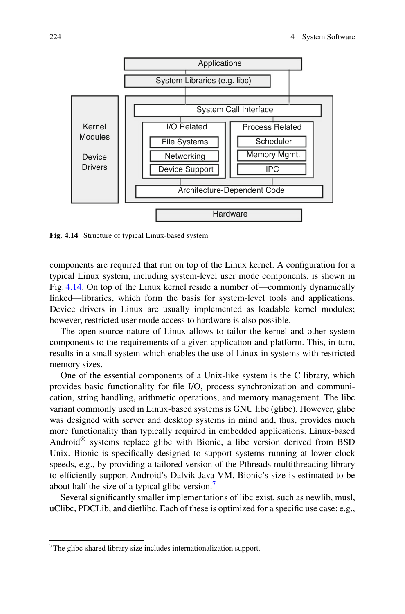

<span id="page-21-0"></span>**Fig. 4.14** Structure of typical Linux-based system

components are required that run on top of the Linux kernel. A configuration for a typical Linux system, including system-level user mode components, is shown in Fig. [4.14.](#page-21-0) On top of the Linux kernel reside a number of—commonly dynamically linked—libraries, which form the basis for system-level tools and applications. Device drivers in Linux are usually implemented as loadable kernel modules; however, restricted user mode access to hardware is also possible.

The open-source nature of Linux allows to tailor the kernel and other system components to the requirements of a given application and platform. This, in turn, results in a small system which enables the use of Linux in systems with restricted memory sizes.

One of the essential components of a Unix-like system is the C library, which provides basic functionality for file I/O, process synchronization and communication, string handling, arithmetic operations, and memory management. The libc variant commonly used in Linux-based systems is GNU libc (glibc). However, glibc was designed with server and desktop systems in mind and, thus, provides much more functionality than typically required in embedded applications. Linux-based Android<sup>®</sup> systems replace glibc with Bionic, a libc version derived from BSD Unix. Bionic is specifically designed to support systems running at lower clock speeds, e.g., by providing a tailored version of the Pthreads multithreading library to efficiently support Android's Dalvik Java VM. Bionic's size is estimated to be about half the size of a typical glibc version.[7](#page-21-1)

Several significantly smaller implementations of libc exist, such as newlib, musl, uClibc, PDCLib, and dietlibc. Each of these is optimized for a specific use case; e.g.,

<span id="page-21-1"></span> $7$ The glibc-shared library size includes internationalization support.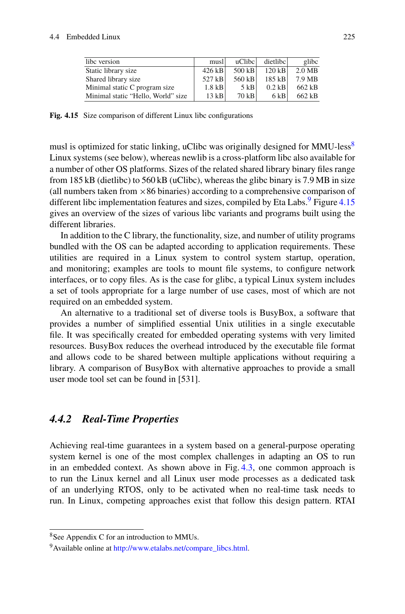| libc version                       | musl     | uClibc   | dietlibc | glibc    |
|------------------------------------|----------|----------|----------|----------|
| Static library size                | $426$ kB | $500$ kB | $120$ kB | $2.0$ MB |
| Shared library size                | 527 kB   | 560 kB   | $185$ kB | 7.9 MB   |
| Minimal static C program size      | $1.8$ kB | $5$ kB   | $0.2$ kB | 662 kB   |
| Minimal static "Hello, World" size | $13$ kB  | $70$ kB  | $6$ kB   | 662 kB   |

<span id="page-22-2"></span>**Fig. 4.15** Size comparison of different Linux libc configurations

musl is optimized for static linking, uClibc was originally designed for MMU-less<sup>[8](#page-22-0)</sup> Linux systems (see below), whereas newlib is a cross-platform libc also available for a number of other OS platforms. Sizes of the related shared library binary files range from 185 kB (dietlibc) to 560 kB (uClibc), whereas the glibc binary is 7.9 MB in size (all numbers taken from  $\times 86$  binaries) according to a comprehensive comparison of different libc implementation features and sizes, compiled by Eta Labs.  $\frac{9}{2}$  $\frac{9}{2}$  $\frac{9}{2}$  Figure [4.15](#page-22-2) gives an overview of the sizes of various libc variants and programs built using the different libraries.

In addition to the C library, the functionality, size, and number of utility programs bundled with the OS can be adapted according to application requirements. These utilities are required in a Linux system to control system startup, operation, and monitoring; examples are tools to mount file systems, to configure network interfaces, or to copy files. As is the case for glibc, a typical Linux system includes a set of tools appropriate for a large number of use cases, most of which are not required on an embedded system.

An alternative to a traditional set of diverse tools is BusyBox, a software that provides a number of simplified essential Unix utilities in a single executable file. It was specifically created for embedded operating systems with very limited resources. BusyBox reduces the overhead introduced by the executable file format and allows code to be shared between multiple applications without requiring a library. A comparison of BusyBox with alternative approaches to provide a small user mode tool set can be found in [531].

#### *4.4.2 Real-Time Properties*

Achieving real-time guarantees in a system based on a general-purpose operating system kernel is one of the most complex challenges in adapting an OS to run in an embedded context. As shown above in Fig. [4.3,](#page-7-0) one common approach is to run the Linux kernel and all Linux user mode processes as a dedicated task of an underlying RTOS, only to be activated when no real-time task needs to run. In Linux, competing approaches exist that follow this design pattern. RTAI

<span id="page-22-0"></span><sup>&</sup>lt;sup>8</sup>See Appendix C for an introduction to MMUs.

<span id="page-22-1"></span><sup>&</sup>lt;sup>9</sup>Available online at [http://www.etalabs.net/compare\\_libcs.html.](http://www.etalabs.net/compare_libcs.html)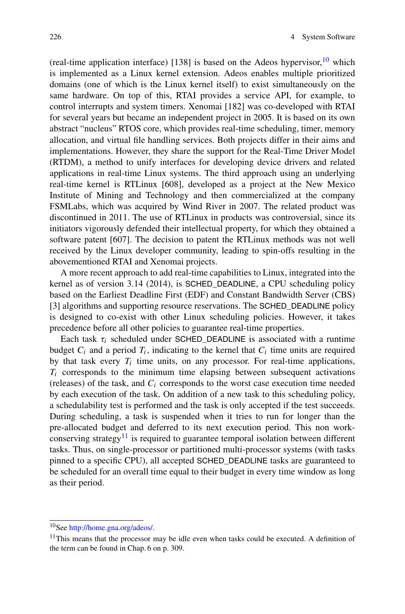(real-time application interface) [138] is based on the Adeos hypervisor,  $\frac{10}{10}$  which is implemented as a Linux kernel extension. Adeos enables multiple prioritized domains (one of which is the Linux kernel itself) to exist simultaneously on the same hardware. On top of this, RTAI provides a service API, for example, to control interrupts and system timers. Xenomai [182] was co-developed with RTAI for several years but became an independent project in 2005. It is based on its own abstract "nucleus" RTOS core, which provides real-time scheduling, timer, memory allocation, and virtual file handling services. Both projects differ in their aims and implementations. However, they share the support for the Real-Time Driver Model (RTDM), a method to unify interfaces for developing device drivers and related applications in real-time Linux systems. The third approach using an underlying real-time kernel is RTLinux [608], developed as a project at the New Mexico Institute of Mining and Technology and then commercialized at the company FSMLabs, which was acquired by Wind River in 2007. The related product was discontinued in 2011. The use of RTLinux in products was controversial, since its initiators vigorously defended their intellectual property, for which they obtained a software patent [607]. The decision to patent the RTLinux methods was not well received by the Linux developer community, leading to spin-offs resulting in the abovementioned RTAI and Xenomai projects.

A more recent approach to add real-time capabilities to Linux, integrated into the kernel as of version 3.14 (2014), is SCHED\_DEADLINE, a CPU scheduling policy based on the Earliest Deadline First (EDF) and Constant Bandwidth Server (CBS) [3] algorithms and supporting resource reservations. The SCHED\_DEADLINE policy is designed to co-exist with other Linux scheduling policies. However, it takes precedence before all other policies to guarantee real-time properties.

Each task  $\tau_i$  scheduled under SCHED\_DEADLINE is associated with a runtime budget  $C_i$  and a period  $T_i$ , indicating to the kernel that  $C_i$  time units are required by that task every  $T_i$  time units, on any processor. For real-time applications,  $T_i$  corresponds to the minimum time elapsing between subsequent activations (releases) of the task, and *Ci* corresponds to the worst case execution time needed by each execution of the task. On addition of a new task to this scheduling policy, a schedulability test is performed and the task is only accepted if the test succeeds. During scheduling, a task is suspended when it tries to run for longer than the pre-allocated budget and deferred to its next execution period. This non workconserving strategy<sup>11</sup> is required to guarantee temporal isolation between different tasks. Thus, on single-processor or partitioned multi-processor systems (with tasks pinned to a specific CPU), all accepted SCHED\_DEADLINE tasks are guaranteed to be scheduled for an overall time equal to their budget in every time window as long as their period.

<span id="page-23-0"></span><sup>10</sup>See [http://home.gna.org/adeos/.](http://home.gna.org/adeos/)

<span id="page-23-1"></span><sup>&</sup>lt;sup>11</sup>This means that the processor may be idle even when tasks could be executed. A definition of the term can be found in Chap. 6 on p. 309.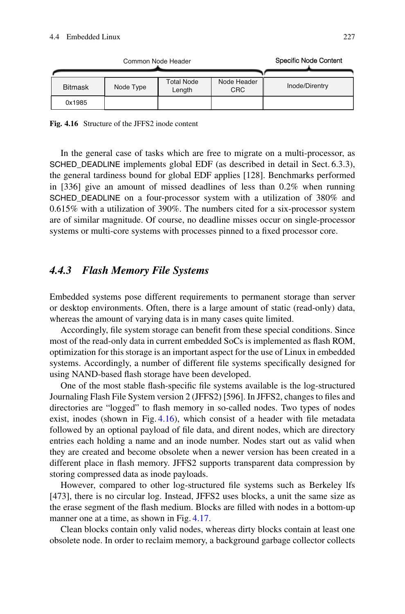| <b>Bitmask</b> | Node Type | <b>Total Node</b><br>Length | Node Header<br><b>CRC</b> | Inode/Direntry |
|----------------|-----------|-----------------------------|---------------------------|----------------|
| 0x1985         |           |                             |                           |                |

<span id="page-24-0"></span>**Fig. 4.16** Structure of the JFFS2 inode content

Common Node Header

In the general case of tasks which are free to migrate on a multi-processor, as SCHED DEADLINE implements global EDF (as described in detail in Sect. 6.3.3), the general tardiness bound for global EDF applies [128]. Benchmarks performed in [336] give an amount of missed deadlines of less than 0.2% when running SCHED DEADLINE on a four-processor system with a utilization of 380% and 0.615% with a utilization of 390%. The numbers cited for a six-processor system are of similar magnitude. Of course, no deadline misses occur on single-processor systems or multi-core systems with processes pinned to a fixed processor core.

#### *4.4.3 Flash Memory File Systems*

Embedded systems pose different requirements to permanent storage than server or desktop environments. Often, there is a large amount of static (read-only) data, whereas the amount of varying data is in many cases quite limited.

Accordingly, file system storage can benefit from these special conditions. Since most of the read-only data in current embedded SoCs is implemented as flash ROM, optimization for this storage is an important aspect for the use of Linux in embedded systems. Accordingly, a number of different file systems specifically designed for using NAND-based flash storage have been developed.

One of the most stable flash-specific file systems available is the log-structured Journaling Flash File System version 2 (JFFS2) [596]. In JFFS2, changes to files and directories are "logged" to flash memory in so-called nodes. Two types of nodes exist, inodes (shown in Fig.  $4.16$ ), which consist of a header with file metadata followed by an optional payload of file data, and dirent nodes, which are directory entries each holding a name and an inode number. Nodes start out as valid when they are created and become obsolete when a newer version has been created in a different place in flash memory. JFFS2 supports transparent data compression by storing compressed data as inode payloads.

However, compared to other log-structured file systems such as Berkeley lfs [473], there is no circular log. Instead, JFFS2 uses blocks, a unit the same size as the erase segment of the flash medium. Blocks are filled with nodes in a bottom-up manner one at a time, as shown in Fig. [4.17.](#page-25-0)

Clean blocks contain only valid nodes, whereas dirty blocks contain at least one obsolete node. In order to reclaim memory, a background garbage collector collects

Specific Node Content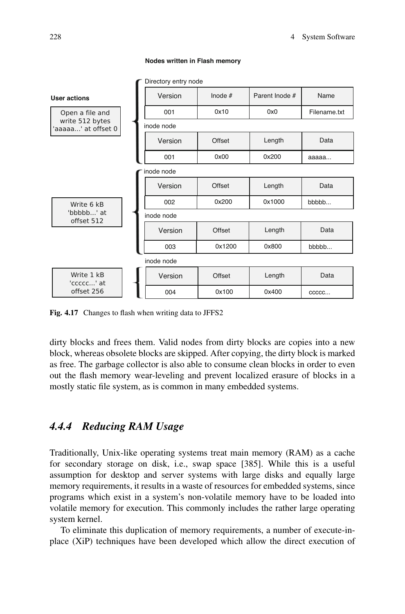|                                        |  | Directory entry node |           |                |              |      |  |  |
|----------------------------------------|--|----------------------|-----------|----------------|--------------|------|--|--|
| User actions                           |  | Version              | Inode $#$ | Parent Inode # | Name         |      |  |  |
| Open a file and                        |  | 001                  | 0x10      | 0x0            | Filename.txt |      |  |  |
| write 512 bytes<br>'aaaaa' at offset 0 |  | inode node           |           |                |              |      |  |  |
|                                        |  | Version              | Offset    | Length         | Data         |      |  |  |
|                                        |  | 0x00<br>0x200<br>001 |           | aaaaa          |              |      |  |  |
|                                        |  | inode node           |           |                |              |      |  |  |
|                                        |  | Version              | Offset    | Length         | Data         |      |  |  |
| Write 6 kB                             |  | 002                  | 0x200     | 0x1000         | bbbbb        |      |  |  |
| 'bbbbb' at<br>offset 512               |  | inode node           |           |                |              |      |  |  |
|                                        |  |                      | Version   | Offset         | Length       | Data |  |  |
|                                        |  | 003                  | 0x1200    | 0x800          | bbbbb        |      |  |  |
|                                        |  | inode node           |           |                |              |      |  |  |
| Write 1 kB<br>'ccccc' at               |  | Version              | Offset    | Length         | Data         |      |  |  |
| offset 256                             |  | 004                  | 0x100     | 0x400          | CCCCC        |      |  |  |

#### **Nodes written in Flash memory**

<span id="page-25-0"></span>**Fig. 4.17** Changes to flash when writing data to JFFS2

dirty blocks and frees them. Valid nodes from dirty blocks are copies into a new block, whereas obsolete blocks are skipped. After copying, the dirty block is marked as free. The garbage collector is also able to consume clean blocks in order to even out the flash memory wear-leveling and prevent localized erasure of blocks in a mostly static file system, as is common in many embedded systems.

#### *4.4.4 Reducing RAM Usage*

Traditionally, Unix-like operating systems treat main memory (RAM) as a cache for secondary storage on disk, i.e., swap space [385]. While this is a useful assumption for desktop and server systems with large disks and equally large memory requirements, it results in a waste of resources for embedded systems, since programs which exist in a system's non-volatile memory have to be loaded into volatile memory for execution. This commonly includes the rather large operating system kernel.

To eliminate this duplication of memory requirements, a number of execute-inplace (XiP) techniques have been developed which allow the direct execution of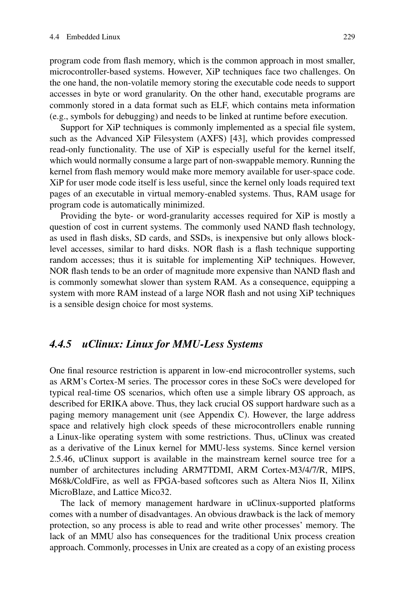program code from flash memory, which is the common approach in most smaller, microcontroller-based systems. However, XiP techniques face two challenges. On the one hand, the non-volatile memory storing the executable code needs to support accesses in byte or word granularity. On the other hand, executable programs are commonly stored in a data format such as ELF, which contains meta information (e.g., symbols for debugging) and needs to be linked at runtime before execution.

Support for XiP techniques is commonly implemented as a special file system, such as the Advanced XiP Filesystem (AXFS) [43], which provides compressed read-only functionality. The use of XiP is especially useful for the kernel itself, which would normally consume a large part of non-swappable memory. Running the kernel from flash memory would make more memory available for user-space code. XiP for user mode code itself is less useful, since the kernel only loads required text pages of an executable in virtual memory-enabled systems. Thus, RAM usage for program code is automatically minimized.

Providing the byte- or word-granularity accesses required for XiP is mostly a question of cost in current systems. The commonly used NAND flash technology, as used in flash disks, SD cards, and SSDs, is inexpensive but only allows blocklevel accesses, similar to hard disks. NOR flash is a flash technique supporting random accesses; thus it is suitable for implementing XiP techniques. However, NOR flash tends to be an order of magnitude more expensive than NAND flash and is commonly somewhat slower than system RAM. As a consequence, equipping a system with more RAM instead of a large NOR flash and not using XiP techniques is a sensible design choice for most systems.

#### *4.4.5 uClinux: Linux for MMU-Less Systems*

One final resource restriction is apparent in low-end microcontroller systems, such as ARM's Cortex-M series. The processor cores in these SoCs were developed for typical real-time OS scenarios, which often use a simple library OS approach, as described for ERIKA above. Thus, they lack crucial OS support hardware such as a paging memory management unit (see Appendix C). However, the large address space and relatively high clock speeds of these microcontrollers enable running a Linux-like operating system with some restrictions. Thus, uClinux was created as a derivative of the Linux kernel for MMU-less systems. Since kernel version 2.5.46, uClinux support is available in the mainstream kernel source tree for a number of architectures including ARM7TDMI, ARM Cortex-M3/4/7/R, MIPS, M68k/ColdFire, as well as FPGA-based softcores such as Altera Nios II, Xilinx MicroBlaze, and Lattice Mico32.

The lack of memory management hardware in uClinux-supported platforms comes with a number of disadvantages. An obvious drawback is the lack of memory protection, so any process is able to read and write other processes' memory. The lack of an MMU also has consequences for the traditional Unix process creation approach. Commonly, processes in Unix are created as a copy of an existing process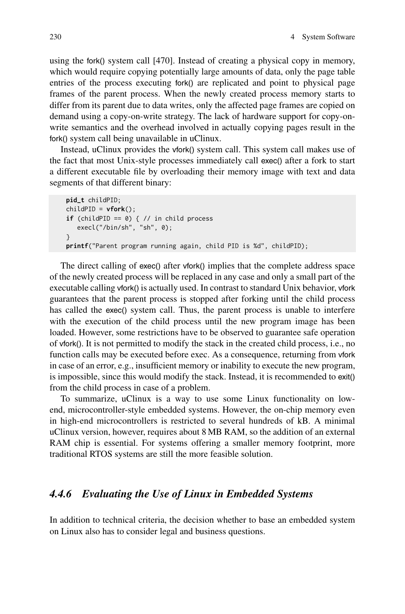using the fork() system call [470]. Instead of creating a physical copy in memory, which would require copying potentially large amounts of data, only the page table entries of the process executing fork() are replicated and point to physical page frames of the parent process. When the newly created process memory starts to differ from its parent due to data writes, only the affected page frames are copied on demand using a copy-on-write strategy. The lack of hardware support for copy-onwrite semantics and the overhead involved in actually copying pages result in the fork() system call being unavailable in uClinux.

Instead, uClinux provides the vfork() system call. This system call makes use of the fact that most Unix-style processes immediately call exec() after a fork to start a different executable file by overloading their memory image with text and data segments of that different binary:

```
pid_t childPID;
childPID = vfork();
if (childPID == \theta) { // in child process
   execl("/bin/sh", "sh", 0);
}
printf("Parent program running again, child PID is %d", childPID);
```
The direct calling of exec() after vfork() implies that the complete address space of the newly created process will be replaced in any case and only a small part of the executable calling vfork() is actually used. In contrast to standard Unix behavior, vfork guarantees that the parent process is stopped after forking until the child process has called the exec() system call. Thus, the parent process is unable to interfere with the execution of the child process until the new program image has been loaded. However, some restrictions have to be observed to guarantee safe operation of vfork(). It is not permitted to modify the stack in the created child process, i.e., no function calls may be executed before exec. As a consequence, returning from vfork in case of an error, e.g., insufficient memory or inability to execute the new program, is impossible, since this would modify the stack. Instead, it is recommended to exit() from the child process in case of a problem.

To summarize, uClinux is a way to use some Linux functionality on lowend, microcontroller-style embedded systems. However, the on-chip memory even in high-end microcontrollers is restricted to several hundreds of kB. A minimal uClinux version, however, requires about 8 MB RAM, so the addition of an external RAM chip is essential. For systems offering a smaller memory footprint, more traditional RTOS systems are still the more feasible solution.

#### *4.4.6 Evaluating the Use of Linux in Embedded Systems*

In addition to technical criteria, the decision whether to base an embedded system on Linux also has to consider legal and business questions.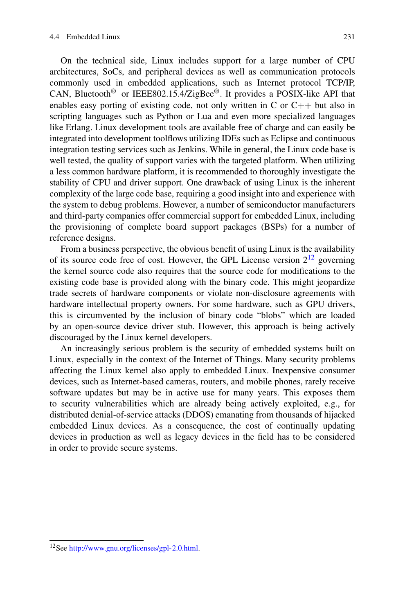On the technical side, Linux includes support for a large number of CPU architectures, SoCs, and peripheral devices as well as communication protocols commonly used in embedded applications, such as Internet protocol TCP/IP, CAN, Bluetooth<sup>®</sup> or IEEE802.15.4/ZigBee<sup>®</sup>. It provides a POSIX-like API that enables easy porting of existing code, not only written in C or  $C_{++}$  but also in scripting languages such as Python or Lua and even more specialized languages like Erlang. Linux development tools are available free of charge and can easily be integrated into development toolflows utilizing IDEs such as Eclipse and continuous integration testing services such as Jenkins. While in general, the Linux code base is well tested, the quality of support varies with the targeted platform. When utilizing a less common hardware platform, it is recommended to thoroughly investigate the stability of CPU and driver support. One drawback of using Linux is the inherent complexity of the large code base, requiring a good insight into and experience with the system to debug problems. However, a number of semiconductor manufacturers and third-party companies offer commercial support for embedded Linux, including the provisioning of complete board support packages (BSPs) for a number of reference designs.

From a business perspective, the obvious benefit of using Linux is the availability of its source code free of cost. However, the GPL License version  $2^{12}$  governing the kernel source code also requires that the source code for modifications to the existing code base is provided along with the binary code. This might jeopardize trade secrets of hardware components or violate non-disclosure agreements with hardware intellectual property owners. For some hardware, such as GPU drivers, this is circumvented by the inclusion of binary code "blobs" which are loaded by an open-source device driver stub. However, this approach is being actively discouraged by the Linux kernel developers.

An increasingly serious problem is the security of embedded systems built on Linux, especially in the context of the Internet of Things. Many security problems affecting the Linux kernel also apply to embedded Linux. Inexpensive consumer devices, such as Internet-based cameras, routers, and mobile phones, rarely receive software updates but may be in active use for many years. This exposes them to security vulnerabilities which are already being actively exploited, e.g., for distributed denial-of-service attacks (DDOS) emanating from thousands of hijacked embedded Linux devices. As a consequence, the cost of continually updating devices in production as well as legacy devices in the field has to be considered in order to provide secure systems.

<span id="page-28-0"></span><sup>12</sup>See [http://www.gnu.org/licenses/gpl-2.0.html.](http://www.gnu.org/licenses/gpl-2.0.html)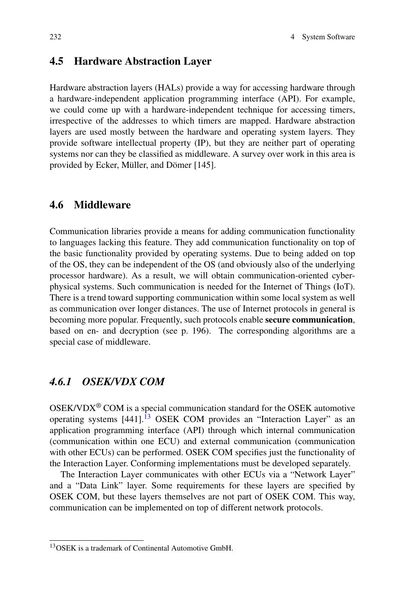### **4.5 Hardware Abstraction Layer**

Hardware abstraction layers (HALs) provide a way for accessing hardware through a hardware-independent application programming interface (API). For example, we could come up with a hardware-independent technique for accessing timers, irrespective of the addresses to which timers are mapped. Hardware abstraction layers are used mostly between the hardware and operating system layers. They provide software intellectual property (IP), but they are neither part of operating systems nor can they be classified as middleware. A survey over work in this area is provided by Ecker, Müller, and Dömer [145].

#### **4.6 Middleware**

Communication libraries provide a means for adding communication functionality to languages lacking this feature. They add communication functionality on top of the basic functionality provided by operating systems. Due to being added on top of the OS, they can be independent of the OS (and obviously also of the underlying processor hardware). As a result, we will obtain communication-oriented cyberphysical systems. Such communication is needed for the Internet of Things (IoT). There is a trend toward supporting communication within some local system as well as communication over longer distances. The use of Internet protocols in general is becoming more popular. Frequently, such protocols enable **secure communication**, based on en- and decryption (see p. 196). The corresponding algorithms are a special case of middleware.

### *4.6.1 OSEK/VDX COM*

 $OSEK/VDX<sup>®</sup> COM$  is a special communication standard for the  $OSEK$  automotive operating systems  $[441]$ .<sup>[13](#page-29-0)</sup> OSEK COM provides an "Interaction Layer" as an application programming interface (API) through which internal communication (communication within one ECU) and external communication (communication with other ECUs) can be performed. OSEK COM specifies just the functionality of the Interaction Layer. Conforming implementations must be developed separately.

The Interaction Layer communicates with other ECUs via a "Network Layer" and a "Data Link" layer. Some requirements for these layers are specified by OSEK COM, but these layers themselves are not part of OSEK COM. This way, communication can be implemented on top of different network protocols.

<span id="page-29-0"></span><sup>&</sup>lt;sup>13</sup>OSEK is a trademark of Continental Automotive GmbH.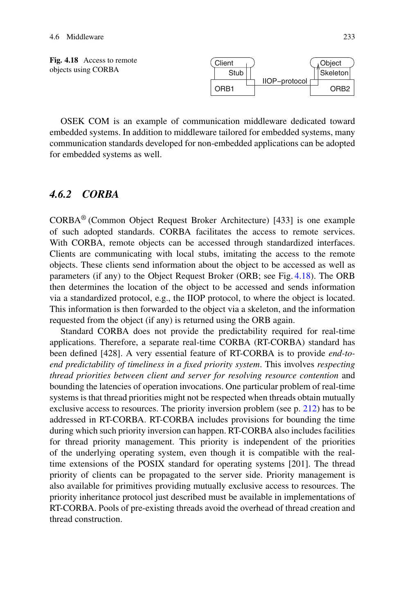<span id="page-30-0"></span>**Fig. 4.18** Access to remote objects using CORBA



OSEK COM is an example of communication middleware dedicated toward embedded systems. In addition to middleware tailored for embedded systems, many communication standards developed for non-embedded applications can be adopted for embedded systems as well.

#### *4.6.2 CORBA*

CORBA® (Common Object Request Broker Architecture) [433] is one example of such adopted standards. CORBA facilitates the access to remote services. With CORBA, remote objects can be accessed through standardized interfaces. Clients are communicating with local stubs, imitating the access to the remote objects. These clients send information about the object to be accessed as well as parameters (if any) to the Object Request Broker (ORB; see Fig. [4.18\)](#page-30-0). The ORB then determines the location of the object to be accessed and sends information via a standardized protocol, e.g., the IIOP protocol, to where the object is located. This information is then forwarded to the object via a skeleton, and the information requested from the object (if any) is returned using the ORB again.

Standard CORBA does not provide the predictability required for real-time applications. Therefore, a separate real-time CORBA (RT-CORBA) standard has been defined [428]. A very essential feature of RT-CORBA is to provide *end-toend predictability of timeliness in a fixed priority system*. This involves *respecting thread priorities between client and server for resolving resource contention* and bounding the latencies of operation invocations. One particular problem of real-time systems is that thread priorities might not be respected when threads obtain mutually exclusive access to resources. The priority inversion problem (see p. [212\)](#page-9-0) has to be addressed in RT-CORBA. RT-CORBA includes provisions for bounding the time during which such priority inversion can happen. RT-CORBA also includes facilities for thread priority management. This priority is independent of the priorities of the underlying operating system, even though it is compatible with the realtime extensions of the POSIX standard for operating systems [201]. The thread priority of clients can be propagated to the server side. Priority management is also available for primitives providing mutually exclusive access to resources. The priority inheritance protocol just described must be available in implementations of RT-CORBA. Pools of pre-existing threads avoid the overhead of thread creation and thread construction.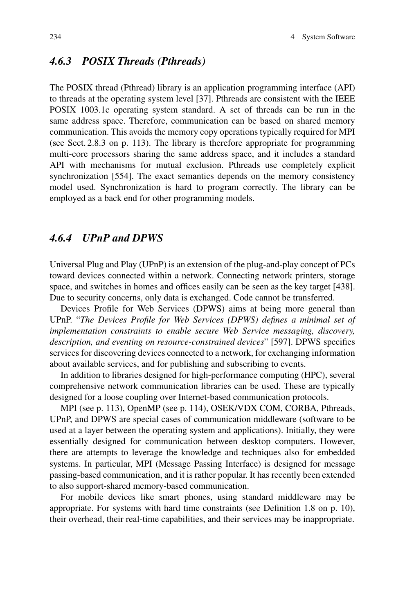#### *4.6.3 POSIX Threads (Pthreads)*

The POSIX thread (Pthread) library is an application programming interface (API) to threads at the operating system level [37]. Pthreads are consistent with the IEEE POSIX 1003.1c operating system standard. A set of threads can be run in the same address space. Therefore, communication can be based on shared memory communication. This avoids the memory copy operations typically required for MPI (see Sect. 2.8.3 on p. 113). The library is therefore appropriate for programming multi-core processors sharing the same address space, and it includes a standard API with mechanisms for mutual exclusion. Pthreads use completely explicit synchronization [554]. The exact semantics depends on the memory consistency model used. Synchronization is hard to program correctly. The library can be employed as a back end for other programming models.

### *4.6.4 UPnP and DPWS*

Universal Plug and Play (UPnP) is an extension of the plug-and-play concept of PCs toward devices connected within a network. Connecting network printers, storage space, and switches in homes and offices easily can be seen as the key target [438]. Due to security concerns, only data is exchanged. Code cannot be transferred.

Devices Profile for Web Services (DPWS) aims at being more general than UPnP. "*The Devices Profile for Web Services (DPWS) defines a minimal set of implementation constraints to enable secure Web Service messaging, discovery, description, and eventing on resource-constrained devices*" [597]. DPWS specifies services for discovering devices connected to a network, for exchanging information about available services, and for publishing and subscribing to events.

In addition to libraries designed for high-performance computing (HPC), several comprehensive network communication libraries can be used. These are typically designed for a loose coupling over Internet-based communication protocols.

MPI (see p. 113), OpenMP (see p. 114), OSEK/VDX COM, CORBA, Pthreads, UPnP, and DPWS are special cases of communication middleware (software to be used at a layer between the operating system and applications). Initially, they were essentially designed for communication between desktop computers. However, there are attempts to leverage the knowledge and techniques also for embedded systems. In particular, MPI (Message Passing Interface) is designed for message passing-based communication, and it is rather popular. It has recently been extended to also support-shared memory-based communication.

For mobile devices like smart phones, using standard middleware may be appropriate. For systems with hard time constraints (see Definition 1.8 on p. 10), their overhead, their real-time capabilities, and their services may be inappropriate.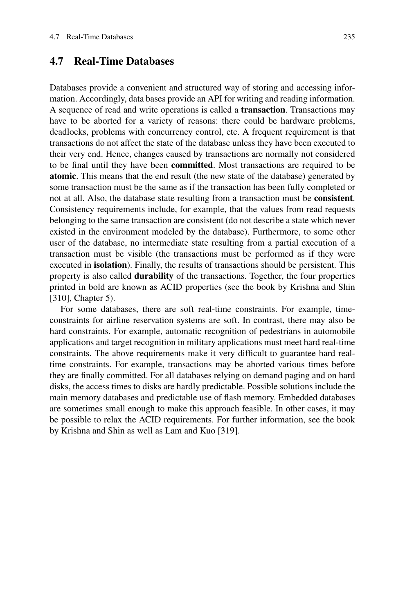### **4.7 Real-Time Databases**

Databases provide a convenient and structured way of storing and accessing information. Accordingly, data bases provide an API for writing and reading information. A sequence of read and write operations is called a **transaction**. Transactions may have to be aborted for a variety of reasons: there could be hardware problems, deadlocks, problems with concurrency control, etc. A frequent requirement is that transactions do not affect the state of the database unless they have been executed to their very end. Hence, changes caused by transactions are normally not considered to be final until they have been **committed**. Most transactions are required to be **atomic**. This means that the end result (the new state of the database) generated by some transaction must be the same as if the transaction has been fully completed or not at all. Also, the database state resulting from a transaction must be **consistent**. Consistency requirements include, for example, that the values from read requests belonging to the same transaction are consistent (do not describe a state which never existed in the environment modeled by the database). Furthermore, to some other user of the database, no intermediate state resulting from a partial execution of a transaction must be visible (the transactions must be performed as if they were executed in **isolation**). Finally, the results of transactions should be persistent. This property is also called **durability** of the transactions. Together, the four properties printed in bold are known as ACID properties (see the book by Krishna and Shin [310], Chapter 5).

For some databases, there are soft real-time constraints. For example, timeconstraints for airline reservation systems are soft. In contrast, there may also be hard constraints. For example, automatic recognition of pedestrians in automobile applications and target recognition in military applications must meet hard real-time constraints. The above requirements make it very difficult to guarantee hard realtime constraints. For example, transactions may be aborted various times before they are finally committed. For all databases relying on demand paging and on hard disks, the access times to disks are hardly predictable. Possible solutions include the main memory databases and predictable use of flash memory. Embedded databases are sometimes small enough to make this approach feasible. In other cases, it may be possible to relax the ACID requirements. For further information, see the book by Krishna and Shin as well as Lam and Kuo [319].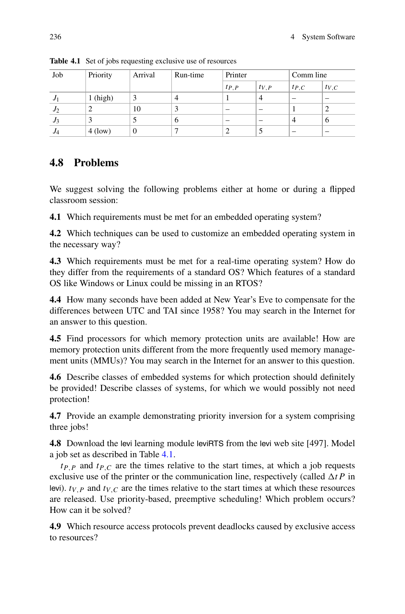<span id="page-33-0"></span>

| Job            | Priority   | Arrival | Run-time |                          | Printer   |                          | Comm line                |  |
|----------------|------------|---------|----------|--------------------------|-----------|--------------------------|--------------------------|--|
|                |            |         |          | $tp_{.}p$                | $t_{V,P}$ | $tp_{,C}$                | $t_{V,C}$                |  |
| J              | $1$ (high) |         | 4        |                          | 4         | -                        | $\overline{\phantom{a}}$ |  |
| J <sub>2</sub> |            | 10      |          | $\overline{\phantom{a}}$ | -         |                          |                          |  |
| $J_3$          |            |         | O        | $\overline{\phantom{a}}$ | -         | 4                        | <sub>0</sub>             |  |
| $J_4$          | $4$ (low)  | O       |          |                          |           | $\overline{\phantom{a}}$ | -                        |  |

**Table 4.1** Set of jobs requesting exclusive use of resources

### **4.8 Problems**

We suggest solving the following problems either at home or during a flipped classroom session:

**4.1** Which requirements must be met for an embedded operating system?

**4.2** Which techniques can be used to customize an embedded operating system in the necessary way?

**4.3** Which requirements must be met for a real-time operating system? How do they differ from the requirements of a standard OS? Which features of a standard OS like Windows or Linux could be missing in an RTOS?

**4.4** How many seconds have been added at New Year's Eve to compensate for the differences between UTC and TAI since 1958? You may search in the Internet for an answer to this question.

**4.5** Find processors for which memory protection units are available! How are memory protection units different from the more frequently used memory management units (MMUs)? You may search in the Internet for an answer to this question.

**4.6** Describe classes of embedded systems for which protection should definitely be provided! Describe classes of systems, for which we would possibly not need protection!

**4.7** Provide an example demonstrating priority inversion for a system comprising three jobs!

**4.8** Download the levi learning module leviRTS from the levi web site [497]. Model a job set as described in Table [4.1.](#page-33-0)

 $t_{P,P}$  and  $t_{P,C}$  are the times relative to the start times, at which a job requests exclusive use of the printer or the communication line, respectively (called  $\Delta t$  *P* in levi).  $t_{V,P}$  and  $t_{V,C}$  are the times relative to the start times at which these resources are released. Use priority-based, preemptive scheduling! Which problem occurs? How can it be solved?

**4.9** Which resource access protocols prevent deadlocks caused by exclusive access to resources?